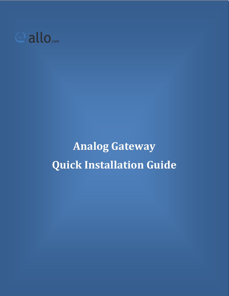

**Analog Gateway Quick Installation Guide**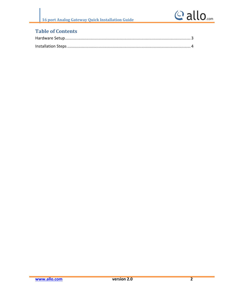## **Table of Contents**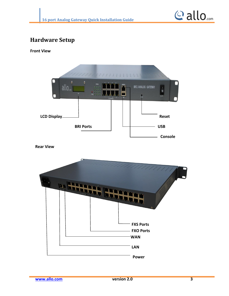

## <span id="page-2-0"></span>**Hardware Setup**

**Front View**



**Rear View**

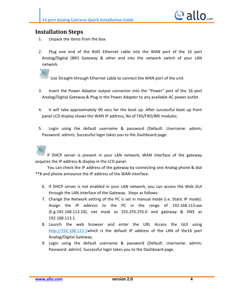

## <span id="page-3-0"></span>**Installation Steps**

- 1. Unpack the items from the box.
- 2. Plug one end of the RJ45 Ethernet cable into the WAN port of the 16 port Analog/Digital (BRI) Gateway & other end into the network switch of your LAN network.

Use Straight-through Ethernet cable to connect the WAN port of the unit.

- 3. Insert the Power Adaptor output connector into the "Power" port of the 16 port Analog/Digital Gateway & Plug in the Power Adapter to any available AC power outlet.
- 4. It will take approximately 90 secs for the boot up. After successful boot up front panel LCD display shows the WAN IP address, No of FXS/FXO/BRI modules.
- 5. Login using the default username & password (Default: Username: admin; Password: admin). Successful login takes you to the Dashboard page.

If DHCP server is present in your LAN network, WAN interface of the gateway acquires the IP address & display in the LCD panel.

 You can check the IP address of the gateway by connecting one Analog phone & dial \*\*# and phone announce the IP address of the WAN interface.

- 6. If DHCP server is not enabled in your LAN network, you can access the Web GUI through the LAN interface of the Gateway. Steps as follows:
- 7. Change the Network setting of the PC is set in manual mode (i.e. Static IP mode). Assign the IP address to the PC in the range of 192.168.113.xxx (E.g:192.168.113.10), net mask as 255.255.255.0 and gateway & DNS as 192.168.113.1.
- 8. Launch the web browser and enter the URL Access the GUI using http://192.168.113.1which is the default IP address of the LAN of the16 port Analog/Digital Gateway.
- 9. Login using the default username & password (Default: Username: admin; Password: admin). Successful login takes you to the Dashboard page.